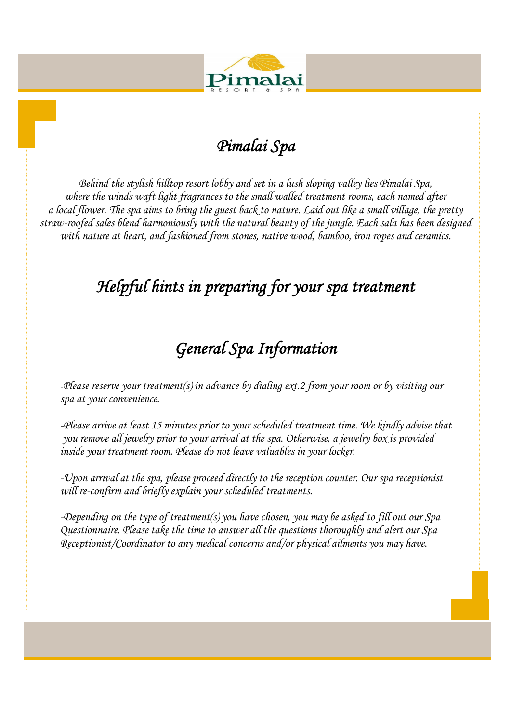

# *Pimalai Spa*

 *Behind the stylish hilltop resort lobby and set in a lush sloping valley lies Pimalai Spa, where the winds waft light fragrances to the small walled treatment rooms, each named after a local flower. The spa aims to bring the guest back to nature. Laid out like a small village, the pretty straw-roofed sales blend harmoniously with the natural beauty of the jungle. Each sala has been designed with nature at heart, and fashioned from stones, native wood, bamboo, iron ropes and ceramics.* 

# *Helpful hints in preparing for your spa treatment*

# *General Spa Information*

*-Please reserve your treatment(s) in advance by dialing ext.2 from your room or by visiting our spa at your convenience.* 

*-Please arrive at least 15 minutes prior to your scheduled treatment time. We kindly advise that you remove all jewelry prior to your arrival at the spa. Otherwise, a jewelry box is provided inside your treatment room. Please do not leave valuables in your locker.* 

*-Upon arrival at the spa, please proceed directly to the reception counter. Our spa receptionist will re-confirm and briefly explain your scheduled treatments.* 

*-Depending on the type of treatment(s) you have chosen, you may be asked to fill out our Spa Questionnaire. Please take the time to answer all the questions thoroughly and alert our Spa Receptionist/Coordinator to any medical concerns and/or physical ailments you may have.*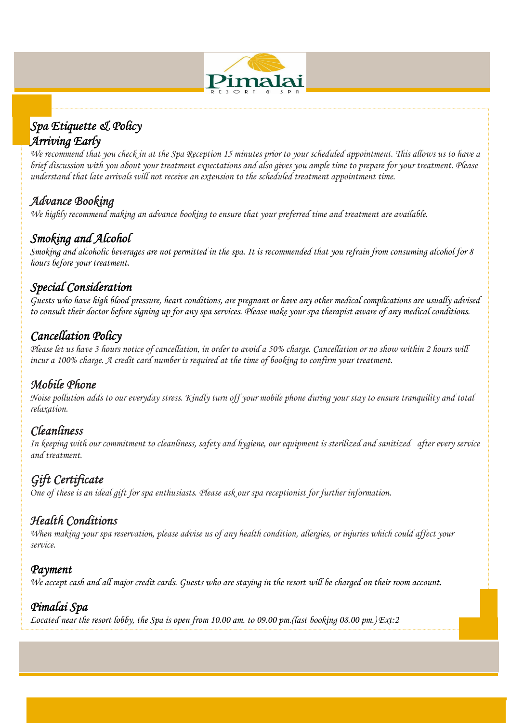

# *Spa Etiquette & Policy Arriving Early*

*We recommend that you check in at the Spa Reception 15 minutes prior to your scheduled appointment. This allows us to have a brief discussion with you about your treatment expectations and also gives you ample time to prepare for your treatment. Please understand that late arrivals will not receive an extension to the scheduled treatment appointment time.* 

# *Advance Booking*

*We highly recommend making an advance booking to ensure that your preferred time and treatment are available.*

# *Smoking and Alcohol*

*Smoking and alcoholic beverages are not permitted in the spa. It is recommended that you refrain from consuming alcohol for 8 hours before your treatment.* 

# *Special Consideration*

*Guests who have high blood pressure, heart conditions, are pregnant or have any other medical complications are usually advised to consult their doctor before signing up for any spa services. Please make your spa therapist aware of any medical conditions.*

# *Cancellation Policy*

*Please let us have 3 hours notice of cancellation, in order to avoid a 50% charge. Cancellation or no show within 2 hours will incur a 100% charge. A credit card number is required at the time of booking to confirm your treatment.* 

# *Mobile Phone*

*Noise pollution adds to our everyday stress. Kindly turn off your mobile phone during your stay to ensure tranquility and total relaxation.*

# *Cleanliness*

*In keeping with our commitment to cleanliness, safety and hygiene, our equipment is sterilized and sanitized after every service and treatment.*

*Gift Certificate*<br>One of these is an ideal gift for spa enthusiasts. Please ask our spa receptionist for further information.

# *Health Conditions*

*When making your spa reservation, please advise us of any health condition, allergies, or injuries which could affect your service.* 

#### *Payment*

*We accept cash and all major credit cards. Guests who are staying in the resort will be charged on their room account.* 

# *Pimalai Spa*

*Located near the resort lobby, the Spa is open from 10.00 am. to 09.00 pm.(last booking 08.00 pm.) Ext:2*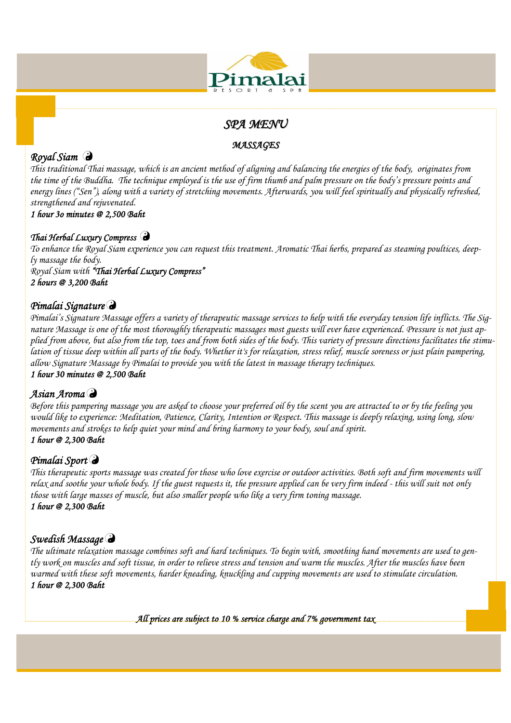

# *SPA MENU*

#### *MASSAGES*

# *Royal Siam*

*This traditional Thai massage, which is an ancient method of aligning and balancing the energies of the body, originates from the time of the Buddha. The technique employed is the use of firm thumb and palm pressure on the body's pressure points and energy lines ("Sen"), along with a variety of stretching movements. Afterwards, you will feel spiritually and physically refreshed, strengthened and rejuvenated.* 

# *1 hour 3o minutes @ 2,500 Baht*

#### *Thai Herbal Luxury Compress*

*To enhance the Royal Siam experience you can request this treatment. Aromatic Thai herbs, prepared as steaming poultices, deeply massage the body. Royal Siam with "Thai Herbal Luxury Compress"* 

*2 hours @ 3,200 Baht* 

#### *Pimalai Signature*

*Pimalai's Signature Massage offers a variety of therapeutic massage services to help with the everyday tension life inflicts. The Signature Massage is one of the most thoroughly therapeutic massages most guests will ever have experienced. Pressure is not just applied from above, but also from the top, toes and from both sides of the body. This variety of pressure directions facilitates the stimulation of tissue deep within all parts of the body. Whether it's for relaxation, stress relief, muscle soreness or just plain pampering, allow Signature Massage by Pimalai to provide you with the latest in massage therapy techniques.* 

#### *1 hour 30 minutes @ 2,500 Baht*

#### *Asian Aroma*

*Before this pampering massage you are asked to choose your preferred oil by the scent you are attracted to or by the feeling you would like to experience: Meditation, Patience, Clarity, Intention or Respect. This massage is deeply relaxing, using long, slow movements and strokes to help quiet your mind and bring harmony to your body, soul and spirit. 1 hour @ 2,300 Baht* 

#### *Pimalai Sport*

*This therapeutic sports massage was created for those who love exercise or outdoor activities. Both soft and firm movements will relax and soothe your whole body. If the guest requests it, the pressure applied can be very firm indeed - this will suit not only those with large masses of muscle, but also smaller people who like a very firm toning massage. 1 hour @ 2,300 Baht* 

#### *Swedish Massage*

*The ultimate relaxation massage combines soft and hard techniques. To begin with, smoothing hand movements are used to gently work on muscles and soft tissue, in order to relieve stress and tension and warm the muscles. After the muscles have been warmed with these soft movements, harder kneading, knuckling and cupping movements are used to stimulate circulation. 1 hour @ 2,300 Baht* 

*All prices are subject to 10 % service charge and 7% government tax*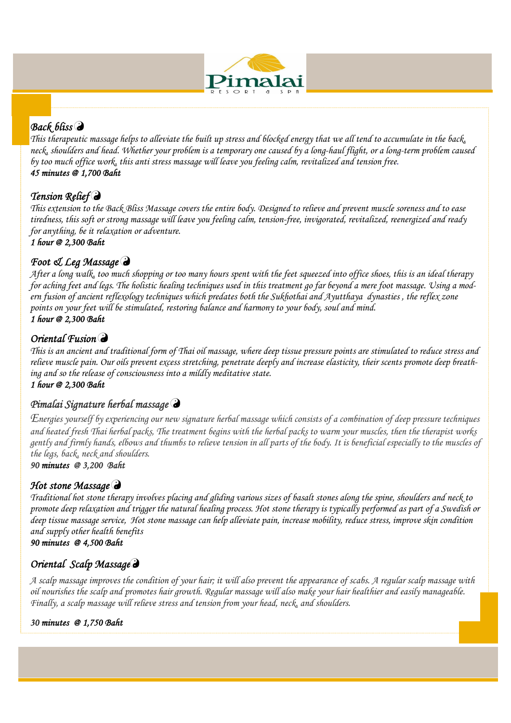

#### *Back bliss*

*This therapeutic massage helps to alleviate the built up stress and blocked energy that we all tend to accumulate in the back, neck, shoulders and head. Whether your problem is a temporary one caused by a long-haul flight, or a long-term problem caused by too much office work, this anti stress massage will leave you feeling calm, revitalized and tension free. 45 minutes @ 1,700 Baht* 

# *Tension Relief*

*This extension to the Back Bliss Massage covers the entire body. Designed to relieve and prevent muscle soreness and to ease tiredness, this soft or strong massage will leave you feeling calm, tension-free, invigorated, revitalized, reenergized and ready for anything, be it relaxation or adventure.* 

*1 hour @ 2,300 Baht* 

# *Foot & Leg Massage*

*After a long walk, too much shopping or too many hours spent with the feet squeezed into office shoes, this is an ideal therapy for aching feet and legs. The holistic healing techniques used in this treatment go far beyond a mere foot massage. Using a modern fusion of ancient reflexology techniques which predates both the Sukhothai and Ayutthaya dynasties , the reflex zone points on your feet will be stimulated, restoring balance and harmony to your body, soul and mind. 1 hour @ 2,300 Baht* 

### *Oriental Fusion*

*This is an ancient and traditional form of Thai oil massage, where deep tissue pressure points are stimulated to reduce stress and relieve muscle pain. Our oils prevent excess stretching, penetrate deeply and increase elasticity, their scents promote deep breathing and so the release of consciousness into a mildly meditative state.* 

*1 hour @ 2,300 Baht* 

#### *Pimalai Signature herbal massage*

*Energies yourself by experiencing our new signature herbal massage which consists of a combination of deep pressure techniques and heated fresh Thai herbal packs, The treatment begins with the herbal packs to warm your muscles, then the therapist works gently and firmly hands, elbows and thumbs to relieve tension in all parts of the body. It is beneficial especially to the muscles of the legs, back, neck and shoulders.* 

*90 minutes @ 3,200 Baht* 

#### *Hot stone Massage*

*Traditional hot stone therapy involves placing and gliding various sizes of basalt stones along the spine, shoulders and neck to promote deep relaxation and trigger the natural healing process. Hot stone therapy is typically performed as part of a Swedish or deep tissue massage service, Hot stone massage can help alleviate pain, increase mobility, reduce stress, improve skin condition and supply other health benefits 90 minutes @ 4,500 Baht* 

# *Oriental Scalp Massage*

*A scalp massage improves the condition of your hair; it will also prevent the appearance of scabs. A regular scalp massage with oil nourishes the scalp and promotes hair growth. Regular massage will also make your hair healthier and easily manageable. Finally, a scalp massage will relieve stress and tension from your head, neck, and shoulders.* 

#### *30 minutes @ 1,750 Baht*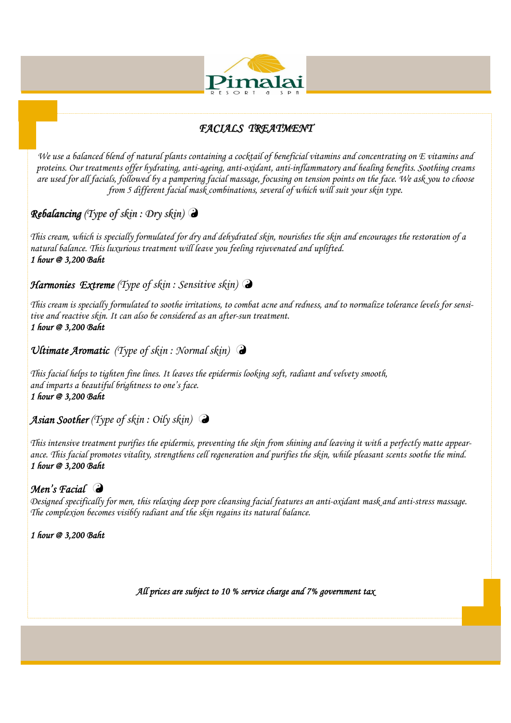

### *FACIALS TREATMENT*

*We use a balanced blend of natural plants containing a cocktail of beneficial vitamins and concentrating on E vitamins and proteins. Our treatments offer hydrating, anti-ageing, anti-oxidant, anti-inflammatory and healing benefits. Soothing creams are used for all facials, followed by a pampering facial massage, focusing on tension points on the face. We ask you to choose from 5 different facial mask combinations, several of which will suit your skin type.* 

*Rebalancing (Type of skin : Dry skin)*

*This cream, which is specially formulated for dry and dehydrated skin, nourishes the skin and encourages the restoration of a natural balance. This luxurious treatment will leave you feeling rejuvenated and uplifted. 1 hour @ 3,200 Baht* 

#### *Harmonies Extreme (Type of skin : Sensitive skin)*

*This cream is specially formulated to soothe irritations, to combat acne and redness, and to normalize tolerance levels for sensitive and reactive skin. It can also be considered as an after-sun treatment. 1 hour @ 3,200 Baht* 

*Ultimate Aromatic (Type of skin : Normal skin)* 

*This facial helps to tighten fine lines. It leaves the epidermis looking soft, radiant and velvety smooth, and imparts a beautiful brightness to one's face. 1 hour @ 3,200 Baht* 

*Asian Soother (Type of skin : Oily skin)* 

*This intensive treatment purifies the epidermis, preventing the skin from shining and leaving it with a perfectly matte appearance. This facial promotes vitality, strengthens cell regeneration and purifies the skin, while pleasant scents soothe the mind. 1 hour @ 3,200 Baht* 

#### *Men's Facial*

*Designed specifically for men, this relaxing deep pore cleansing facial features an anti-oxidant mask and anti-stress massage. The complexion becomes visibly radiant and the skin regains its natural balance.* 

*1 hour @ 3,200 Baht*

*All prices are subject to 10 % service charge and 7% government tax*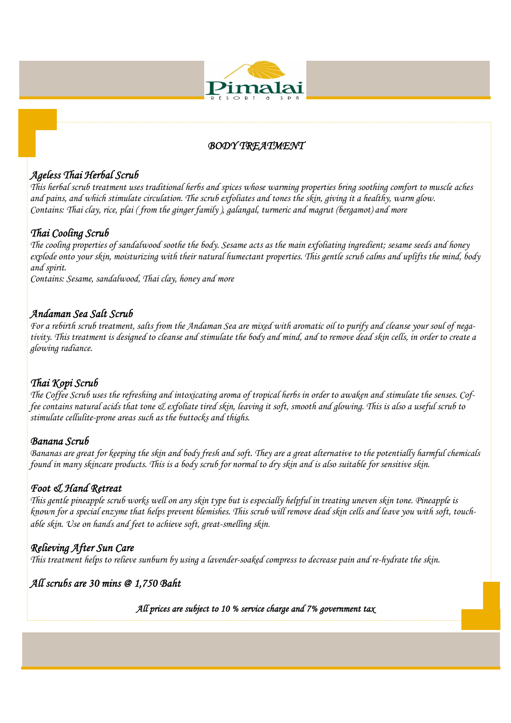

#### *BODY TREATMENT*

# *Ageless Thai Herbal Scrub*

*This herbal scrub treatment uses traditional herbs and spices whose warming properties bring soothing comfort to muscle aches and pains, and which stimulate circulation. The scrub exfoliates and tones the skin, giving it a healthy, warm glow. Contains: Thai clay, rice, plai ( from the ginger family ), galangal, turmeric and magrut (bergamot) and more* 

#### *Thai Cooling Scrub*

*The cooling properties of sandalwood soothe the body. Sesame acts as the main exfoliating ingredient; sesame seeds and honey explode onto your skin, moisturizing with their natural humectant properties. This gentle scrub calms and uplifts the mind, body and spirit.* 

*Contains: Sesame, sandalwood, Thai clay, honey and more* 

#### *Andaman Sea Salt Scrub*

*For a rebirth scrub treatment, salts from the Andaman Sea are mixed with aromatic oil to purify and cleanse your soul of negativity. This treatment is designed to cleanse and stimulate the body and mind, and to remove dead skin cells, in order to create a glowing radiance.* 

#### *Thai Kopi Scrub*

*The Coffee Scrub uses the refreshing and intoxicating aroma of tropical herbs in order to awaken and stimulate the senses. Coffee contains natural acids that tone & exfoliate tired skin, leaving it soft, smooth and glowing. This is also a useful scrub to stimulate cellulite-prone areas such as the buttocks and thighs.* 

#### *Banana Scrub*

*Bananas are great for keeping the skin and body fresh and soft. They are a great alternative to the potentially harmful chemicals found in many skincare products. This is a body scrub for normal to dry skin and is also suitable for sensitive skin.* 

#### *Foot & Hand Retreat*

*This gentle pineapple scrub works well on any skin type but is especially helpful in treating uneven skin tone. Pineapple is known for a special enzyme that helps prevent blemishes. This scrub will remove dead skin cells and leave you with soft, touchable skin. Use on hands and feet to achieve soft, great-smelling skin*.

#### *Relieving After Sun Care*

*This treatment helps to relieve sunburn by using a lavender-soaked compress to decrease pain and re-hydrate the skin.* 

*All scrubs are 30 mins @ 1,750 Baht* 

*All prices are subject to 10 % service charge and 7% government tax*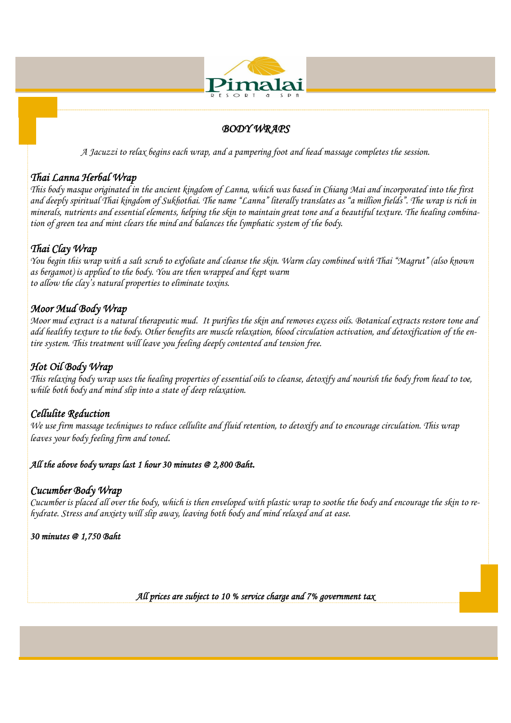

#### *BODY WRAPS*

*A Jacuzzi to relax begins each wrap, and a pampering foot and head massage completes the session.* 

#### *Thai Lanna Herbal Wrap*

*This body masque originated in the ancient kingdom of Lanna, which was based in Chiang Mai and incorporated into the first and deeply spiritual Thai kingdom of Sukhothai. The name "Lanna" literally translates as "a million fields". The wrap is rich in minerals, nutrients and essential elements, helping the skin to maintain great tone and a beautiful texture. The healing combination of green tea and mint clears the mind and balances the lymphatic system of the body.* 

#### *Thai Clay Wrap*

*You begin this wrap with a salt scrub to exfoliate and cleanse the skin. Warm clay combined with Thai "Magrut" (also known as bergamot) is applied to the body. You are then wrapped and kept warm to allow the clay's natural properties to eliminate toxins.* 

#### *Moor Mud Body Wrap*

*Moor mud extract is a natural therapeutic mud. It purifies the skin and removes excess oils. Botanical extracts restore tone and add healthy texture to the body. Other benefits are muscle relaxation, blood circulation activation, and detoxification of the entire system. This treatment will leave you feeling deeply contented and tension free.* 

#### *Hot Oil Body Wrap*

*This relaxing body wrap uses the healing properties of essential oils to cleanse, detoxify and nourish the body from head to toe, while both body and mind slip into a state of deep relaxation.* 

#### *Cellulite Reduction*

*We use firm massage techniques to reduce cellulite and fluid retention, to detoxify and to encourage circulation. This wrap leaves your body feeling firm and toned.* 

#### *All the above body wraps last 1 hour 30 minutes @ 2,800 Baht.*

#### *Cucumber Body Wrap*

*Cucumber is placed all over the body, which is then enveloped with plastic wrap to soothe the body and encourage the skin to rehydrate. Stress and anxiety will slip away, leaving both body and mind relaxed and at ease.* 

*30 minutes @ 1,750 Baht* 

*All prices are subject to 10 % service charge and 7% government tax*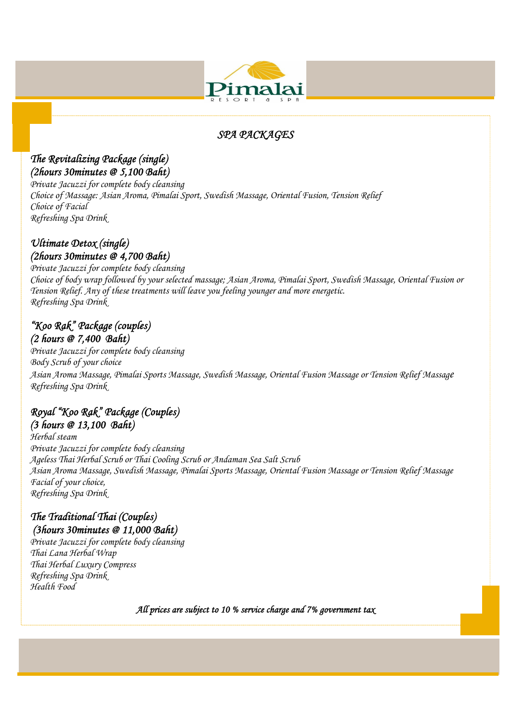

### *SPA PACKAGES*

#### *The Revitalizing Package (single) (2hours 30minutes @ 5,100 Baht)*

*Private Jacuzzi for complete body cleansing Choice of Massage: Asian Aroma, Pimalai Sport, Swedish Massage, Oriental Fusion, Tension Relief Choice of Facial Refreshing Spa Drink* 

#### *Ultimate Detox (single) (2hours 30minutes @ 4,700 Baht)*

*Private Jacuzzi for complete body cleansing Choice of body wrap followed by your selected massage; Asian Aroma, Pimalai Sport, Swedish Massage, Oriental Fusion or Tension Relief. Any of these treatments will leave you feeling younger and more energetic. Refreshing Spa Drink* 

#### *"Koo Rak" Package (couples) (2 hours @ 7,400 Baht)*

*Private Jacuzzi for complete body cleansing Body Scrub of your choice Asian Aroma Massage, Pimalai Sports Massage, Swedish Massage, Oriental Fusion Massage or Tension Relief Massage Refreshing Spa Drink* 

#### *Royal "Koo Rak" Package (Couples) (3 hours @ 13,100 Baht)*

*Herbal steam Private Jacuzzi for complete body cleansing Ageless Thai Herbal Scrub or Thai Cooling Scrub or Andaman Sea Salt Scrub Asian Aroma Massage, Swedish Massage, Pimalai Sports Massage, Oriental Fusion Massage or Tension Relief Massage Facial of your choice, Refreshing Spa Drink* 

### *The Traditional Thai (Couples) (3hours 30minutes @ 11,000 Baht)*

*Private Jacuzzi for complete body cleansing Thai Lana Herbal Wrap Thai Herbal Luxury Compress Refreshing Spa Drink Health Food* 

*All prices are subject to 10 % service charge and 7% government tax*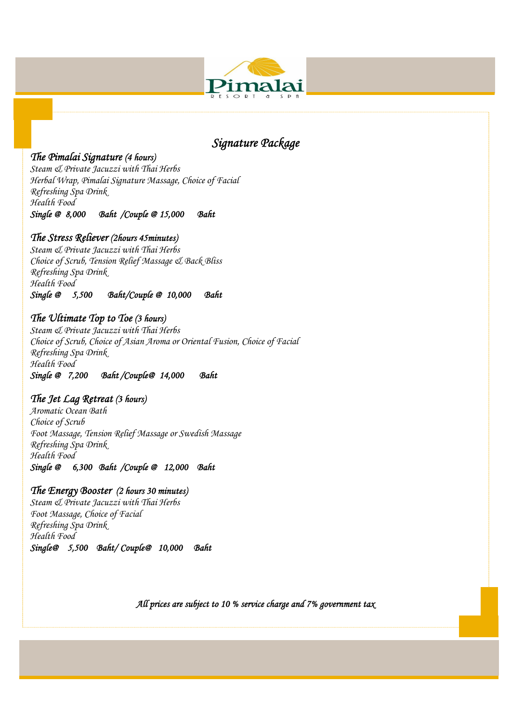

# *Signature Package*

#### *The Pimalai Signature (4 hours)*

*Steam & Private Jacuzzi with Thai Herbs Herbal Wrap, Pimalai Signature Massage, Choice of Facial Refreshing Spa Drink Health Food Single @ 8,000 Baht /Couple @ 15,000 Baht* 

#### *The Stress Reliever (2hours 45minutes)*

*Steam & Private Jacuzzi with Thai Herbs Choice of Scrub, Tension Relief Massage & Back Bliss Refreshing Spa Drink Health Food Single @ 5,500 Baht/Couple @ 10,000 Baht* 

#### *The Ultimate Top to Toe (3 hours)*

*Steam & Private Jacuzzi with Thai Herbs Choice of Scrub, Choice of Asian Aroma or Oriental Fusion, Choice of Facial Refreshing Spa Drink Health Food Single @ 7,200 Baht /Couple@ 14,000 Baht* 

#### *The Jet Lag Retreat (3 hours)*

*Aromatic Ocean Bath Choice of Scrub Foot Massage, Tension Relief Massage or Swedish Massage Refreshing Spa Drink Health Food Single @ 6,300 Baht /Couple @ 12,000 Baht* 

#### *The Energy Booster (2 hours 30 minutes)*

*Steam & Private Jacuzzi with Thai Herbs Foot Massage, Choice of Facial Refreshing Spa Drink Health Food Single@ 5,500 Baht/ Couple@ 10,000 Baht* 

*All prices are subject to 10 % service charge and 7% government tax*